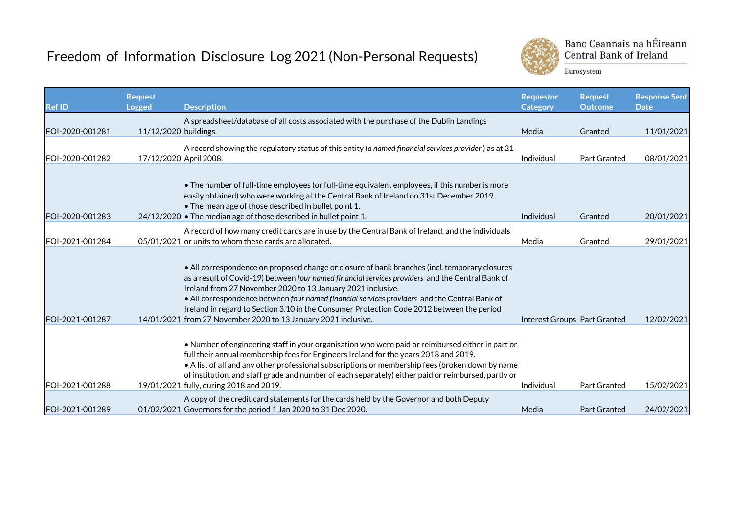## Freedom of Information Disclosure Log 2021 (Non-Personal Requests)



Banc Ceannais na hÉireann Central Bank of Ireland

Eurosystem

|                 | <b>Request</b>         |                                                                                                                                                                                                                                                                                                                                                                                                                                                                                                                                 | <b>Requestor</b>             | <b>Request</b>      | <b>Response Sent</b> |
|-----------------|------------------------|---------------------------------------------------------------------------------------------------------------------------------------------------------------------------------------------------------------------------------------------------------------------------------------------------------------------------------------------------------------------------------------------------------------------------------------------------------------------------------------------------------------------------------|------------------------------|---------------------|----------------------|
| <b>Ref ID</b>   | Logged                 | <b>Description</b>                                                                                                                                                                                                                                                                                                                                                                                                                                                                                                              | Category                     | <b>Outcome</b>      | <b>Date</b>          |
| FOI-2020-001281 | 11/12/2020 buildings.  | A spreadsheet/database of all costs associated with the purchase of the Dublin Landings                                                                                                                                                                                                                                                                                                                                                                                                                                         | Media                        | Granted             | 11/01/2021           |
| FOI-2020-001282 | 17/12/2020 April 2008. | A record showing the regulatory status of this entity (a named financial services provider) as at 21                                                                                                                                                                                                                                                                                                                                                                                                                            | Individual                   | Part Granted        | 08/01/2021           |
| FOI-2020-001283 |                        | • The number of full-time employees (or full-time equivalent employees, if this number is more<br>easily obtained) who were working at the Central Bank of Ireland on 31st December 2019.<br>. The mean age of those described in bullet point 1.<br>24/12/2020 • The median age of those described in bullet point 1.                                                                                                                                                                                                          | Individual                   | Granted             | 20/01/2021           |
| FOI-2021-001284 |                        | A record of how many credit cards are in use by the Central Bank of Ireland, and the individuals<br>05/01/2021 or units to whom these cards are allocated.                                                                                                                                                                                                                                                                                                                                                                      | Media                        | Granted             | 29/01/2021           |
| FOI-2021-001287 |                        | . All correspondence on proposed change or closure of bank branches (incl. temporary closures<br>as a result of Covid-19) between four named financial services providers and the Central Bank of<br>Ireland from 27 November 2020 to 13 January 2021 inclusive.<br>. All correspondence between four named financial services providers and the Central Bank of<br>Ireland in regard to Section 3.10 in the Consumer Protection Code 2012 between the period<br>14/01/2021 from 27 November 2020 to 13 January 2021 inclusive. | Interest Groups Part Granted |                     | 12/02/2021           |
| FOI-2021-001288 |                        | . Number of engineering staff in your organisation who were paid or reimbursed either in part or<br>full their annual membership fees for Engineers Ireland for the years 2018 and 2019.<br>• A list of all and any other professional subscriptions or membership fees (broken down by name<br>of institution, and staff grade and number of each separately) either paid or reimbursed, partly or<br>19/01/2021 fully, during 2018 and 2019.                                                                                  | Individual                   | <b>Part Granted</b> | 15/02/2021           |
| FOI-2021-001289 |                        | A copy of the credit card statements for the cards held by the Governor and both Deputy<br>01/02/2021 Governors for the period 1 Jan 2020 to 31 Dec 2020.                                                                                                                                                                                                                                                                                                                                                                       | Media                        | <b>Part Granted</b> | 24/02/2021           |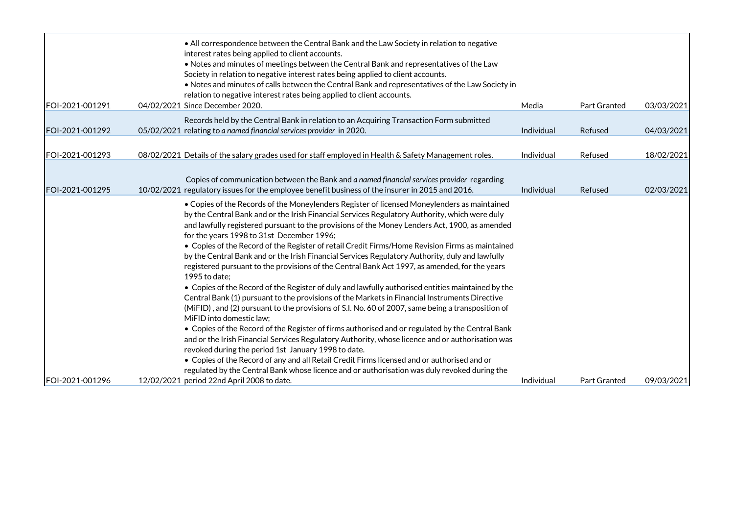| FOI-2021-001291 | . All correspondence between the Central Bank and the Law Society in relation to negative<br>interest rates being applied to client accounts.<br>. Notes and minutes of meetings between the Central Bank and representatives of the Law<br>Society in relation to negative interest rates being applied to client accounts.<br>. Notes and minutes of calls between the Central Bank and representatives of the Law Society in<br>relation to negative interest rates being applied to client accounts.<br>04/02/2021 Since December 2020.                                                                                                                                                                                                                                                                                                                                                                                                                                                                                                                                                                                                                                                                                                                                                                                                                                                                                                                            | Media      | Part Granted        | 03/03/2021 |
|-----------------|------------------------------------------------------------------------------------------------------------------------------------------------------------------------------------------------------------------------------------------------------------------------------------------------------------------------------------------------------------------------------------------------------------------------------------------------------------------------------------------------------------------------------------------------------------------------------------------------------------------------------------------------------------------------------------------------------------------------------------------------------------------------------------------------------------------------------------------------------------------------------------------------------------------------------------------------------------------------------------------------------------------------------------------------------------------------------------------------------------------------------------------------------------------------------------------------------------------------------------------------------------------------------------------------------------------------------------------------------------------------------------------------------------------------------------------------------------------------|------------|---------------------|------------|
| FOI-2021-001292 | Records held by the Central Bank in relation to an Acquiring Transaction Form submitted<br>05/02/2021 relating to a named financial services provider in 2020.                                                                                                                                                                                                                                                                                                                                                                                                                                                                                                                                                                                                                                                                                                                                                                                                                                                                                                                                                                                                                                                                                                                                                                                                                                                                                                         | Individual | Refused             | 04/03/2021 |
| FOI-2021-001293 | 08/02/2021 Details of the salary grades used for staff employed in Health & Safety Management roles.                                                                                                                                                                                                                                                                                                                                                                                                                                                                                                                                                                                                                                                                                                                                                                                                                                                                                                                                                                                                                                                                                                                                                                                                                                                                                                                                                                   | Individual | Refused             | 18/02/2021 |
| FOI-2021-001295 | Copies of communication between the Bank and a named financial services provider regarding<br>10/02/2021 regulatory issues for the employee benefit business of the insurer in 2015 and 2016.                                                                                                                                                                                                                                                                                                                                                                                                                                                                                                                                                                                                                                                                                                                                                                                                                                                                                                                                                                                                                                                                                                                                                                                                                                                                          | Individual | Refused             | 02/03/2021 |
|                 | • Copies of the Records of the Moneylenders Register of licensed Moneylenders as maintained<br>by the Central Bank and or the Irish Financial Services Regulatory Authority, which were duly<br>and lawfully registered pursuant to the provisions of the Money Lenders Act, 1900, as amended<br>for the years 1998 to 31st December 1996;<br>• Copies of the Record of the Register of retail Credit Firms/Home Revision Firms as maintained<br>by the Central Bank and or the Irish Financial Services Regulatory Authority, duly and lawfully<br>registered pursuant to the provisions of the Central Bank Act 1997, as amended, for the years<br>1995 to date:<br>• Copies of the Record of the Register of duly and lawfully authorised entities maintained by the<br>Central Bank (1) pursuant to the provisions of the Markets in Financial Instruments Directive<br>(MiFID), and (2) pursuant to the provisions of S.I. No. 60 of 2007, same being a transposition of<br>MiFID into domestic law;<br>• Copies of the Record of the Register of firms authorised and or regulated by the Central Bank<br>and or the Irish Financial Services Regulatory Authority, whose licence and or authorisation was<br>revoked during the period 1st January 1998 to date.<br>• Copies of the Record of any and all Retail Credit Firms licensed and or authorised and or<br>regulated by the Central Bank whose licence and or authorisation was duly revoked during the |            |                     |            |
| FOI-2021-001296 | 12/02/2021 period 22nd April 2008 to date.                                                                                                                                                                                                                                                                                                                                                                                                                                                                                                                                                                                                                                                                                                                                                                                                                                                                                                                                                                                                                                                                                                                                                                                                                                                                                                                                                                                                                             | Individual | <b>Part Granted</b> | 09/03/2021 |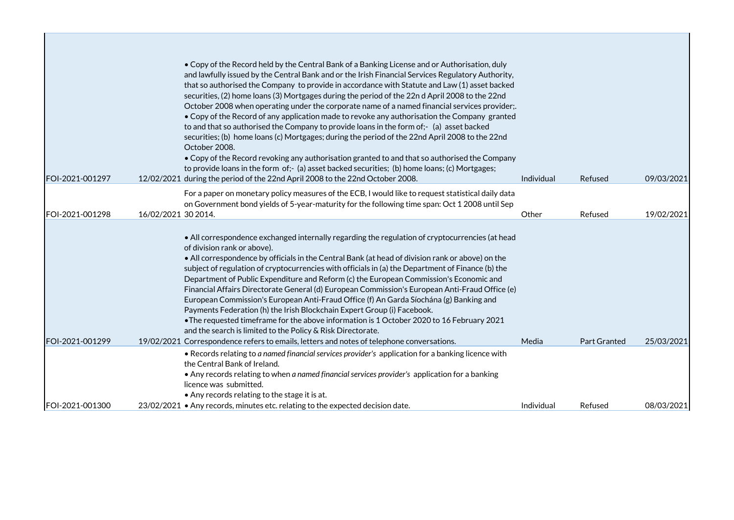| FOI-2021-001297 |                     | • Copy of the Record held by the Central Bank of a Banking License and or Authorisation, duly<br>and lawfully issued by the Central Bank and or the Irish Financial Services Regulatory Authority,<br>that so authorised the Company to provide in accordance with Statute and Law (1) asset backed<br>securities, (2) home loans (3) Mortgages during the period of the 22n d April 2008 to the 22nd<br>October 2008 when operating under the corporate name of a named financial services provider;.<br>• Copy of the Record of any application made to revoke any authorisation the Company granted<br>to and that so authorised the Company to provide loans in the form of;- (a) asset backed<br>securities; (b) home loans (c) Mortgages; during the period of the 22nd April 2008 to the 22nd<br>October 2008.<br>• Copy of the Record revoking any authorisation granted to and that so authorised the Company<br>to provide loans in the form of;- (a) asset backed securities; (b) home loans; (c) Mortgages;<br>12/02/2021 during the period of the 22nd April 2008 to the 22nd October 2008. | Individual | Refused      | 09/03/2021 |
|-----------------|---------------------|----------------------------------------------------------------------------------------------------------------------------------------------------------------------------------------------------------------------------------------------------------------------------------------------------------------------------------------------------------------------------------------------------------------------------------------------------------------------------------------------------------------------------------------------------------------------------------------------------------------------------------------------------------------------------------------------------------------------------------------------------------------------------------------------------------------------------------------------------------------------------------------------------------------------------------------------------------------------------------------------------------------------------------------------------------------------------------------------------------|------------|--------------|------------|
|                 |                     | For a paper on monetary policy measures of the ECB, I would like to request statistical daily data                                                                                                                                                                                                                                                                                                                                                                                                                                                                                                                                                                                                                                                                                                                                                                                                                                                                                                                                                                                                       |            |              |            |
|                 |                     | on Government bond yields of 5-year-maturity for the following time span: Oct 1 2008 until Sep                                                                                                                                                                                                                                                                                                                                                                                                                                                                                                                                                                                                                                                                                                                                                                                                                                                                                                                                                                                                           |            |              |            |
| FOI-2021-001298 | 16/02/2021 30 2014. |                                                                                                                                                                                                                                                                                                                                                                                                                                                                                                                                                                                                                                                                                                                                                                                                                                                                                                                                                                                                                                                                                                          | Other      | Refused      | 19/02/2021 |
| FOI-2021-001299 |                     | . All correspondence exchanged internally regarding the regulation of cryptocurrencies (at head<br>of division rank or above).<br>. All correspondence by officials in the Central Bank (at head of division rank or above) on the<br>subject of regulation of cryptocurrencies with officials in (a) the Department of Finance (b) the<br>Department of Public Expenditure and Reform (c) the European Commission's Economic and<br>Financial Affairs Directorate General (d) European Commission's European Anti-Fraud Office (e)<br>European Commission's European Anti-Fraud Office (f) An Garda Síochána (g) Banking and<br>Payments Federation (h) the Irish Blockchain Expert Group (i) Facebook.<br>• The requested timeframe for the above information is 1 October 2020 to 16 February 2021<br>and the search is limited to the Policy & Risk Directorate.<br>19/02/2021 Correspondence refers to emails, letters and notes of telephone conversations.                                                                                                                                        | Media      | Part Granted | 25/03/2021 |
|                 |                     | . Records relating to a named financial services provider's application for a banking licence with<br>the Central Bank of Ireland.<br>• Any records relating to when a named financial services provider's application for a banking<br>licence was submitted.<br>. Any records relating to the stage it is at.                                                                                                                                                                                                                                                                                                                                                                                                                                                                                                                                                                                                                                                                                                                                                                                          |            |              |            |
| FOI-2021-001300 |                     | 23/02/2021 • Any records, minutes etc. relating to the expected decision date.                                                                                                                                                                                                                                                                                                                                                                                                                                                                                                                                                                                                                                                                                                                                                                                                                                                                                                                                                                                                                           | Individual | Refused      | 08/03/2021 |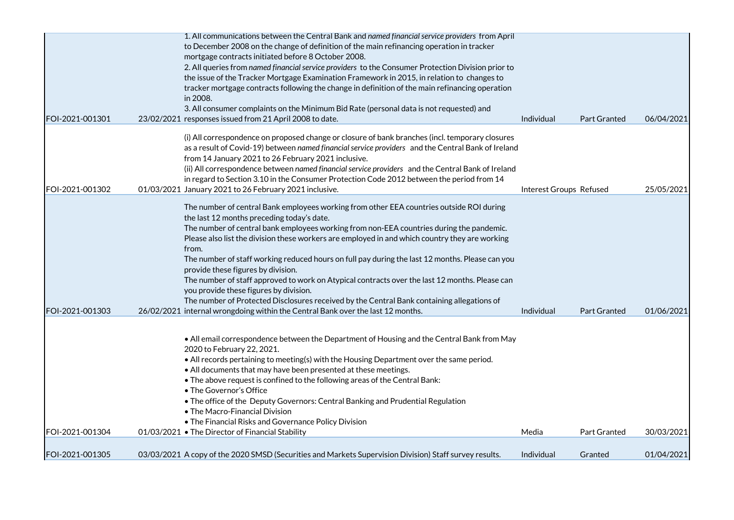| FOI-2021-001305 | 03/03/2021 A copy of the 2020 SMSD (Securities and Markets Supervision Division) Staff survey results.                                                                                                | Individual              | Granted             | 01/04/2021 |
|-----------------|-------------------------------------------------------------------------------------------------------------------------------------------------------------------------------------------------------|-------------------------|---------------------|------------|
| FOI-2021-001304 | 01/03/2021 • The Director of Financial Stability                                                                                                                                                      | Media                   | <b>Part Granted</b> | 30/03/2021 |
|                 | • The Macro-Financial Division<br>. The Financial Risks and Governance Policy Division                                                                                                                |                         |                     |            |
|                 | • The office of the Deputy Governors: Central Banking and Prudential Regulation                                                                                                                       |                         |                     |            |
|                 | • The Governor's Office                                                                                                                                                                               |                         |                     |            |
|                 | • All documents that may have been presented at these meetings.<br>. The above request is confined to the following areas of the Central Bank:                                                        |                         |                     |            |
|                 | . All records pertaining to meeting(s) with the Housing Department over the same period.                                                                                                              |                         |                     |            |
|                 | 2020 to February 22, 2021.                                                                                                                                                                            |                         |                     |            |
|                 | . All email correspondence between the Department of Housing and the Central Bank from May                                                                                                            |                         |                     |            |
| FOI-2021-001303 | 26/02/2021 internal wrongdoing within the Central Bank over the last 12 months.                                                                                                                       | Individual              | Part Granted        | 01/06/2021 |
|                 | The number of Protected Disclosures received by the Central Bank containing allegations of                                                                                                            |                         |                     |            |
|                 | The number of staff approved to work on Atypical contracts over the last 12 months. Please can<br>you provide these figures by division.                                                              |                         |                     |            |
|                 | provide these figures by division.                                                                                                                                                                    |                         |                     |            |
|                 | The number of staff working reduced hours on full pay during the last 12 months. Please can you                                                                                                       |                         |                     |            |
|                 | from.                                                                                                                                                                                                 |                         |                     |            |
|                 | The number of central bank employees working from non-EEA countries during the pandemic.<br>Please also list the division these workers are employed in and which country they are working            |                         |                     |            |
|                 | the last 12 months preceding today's date.                                                                                                                                                            |                         |                     |            |
|                 | The number of central Bank employees working from other EEA countries outside ROI during                                                                                                              |                         |                     |            |
| FOI-2021-001302 | 01/03/2021 January 2021 to 26 February 2021 inclusive.                                                                                                                                                | Interest Groups Refused |                     | 25/05/2021 |
|                 | in regard to Section 3.10 in the Consumer Protection Code 2012 between the period from 14                                                                                                             |                         |                     |            |
|                 | (ii) All correspondence between named financial service providers and the Central Bank of Ireland                                                                                                     |                         |                     |            |
|                 | from 14 January 2021 to 26 February 2021 inclusive.                                                                                                                                                   |                         |                     |            |
|                 | (i) All correspondence on proposed change or closure of bank branches (incl. temporary closures<br>as a result of Covid-19) between named financial service providers and the Central Bank of Ireland |                         |                     |            |
|                 |                                                                                                                                                                                                       |                         |                     |            |
| FOI-2021-001301 | 3. All consumer complaints on the Minimum Bid Rate (personal data is not requested) and<br>23/02/2021 responses issued from 21 April 2008 to date.                                                    | Individual              | <b>Part Granted</b> | 06/04/2021 |
|                 | in 2008.                                                                                                                                                                                              |                         |                     |            |
|                 | tracker mortgage contracts following the change in definition of the main refinancing operation                                                                                                       |                         |                     |            |
|                 | the issue of the Tracker Mortgage Examination Framework in 2015, in relation to changes to                                                                                                            |                         |                     |            |
|                 | 2. All queries from named financial service providers to the Consumer Protection Division prior to                                                                                                    |                         |                     |            |
|                 | to December 2008 on the change of definition of the main refinancing operation in tracker<br>mortgage contracts initiated before 8 October 2008.                                                      |                         |                     |            |
|                 | 1. All communications between the Central Bank and named financial service providers from April                                                                                                       |                         |                     |            |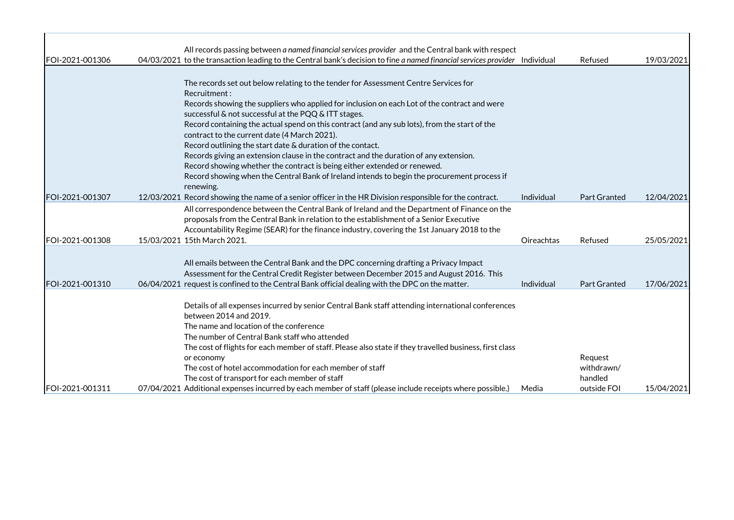|                 | All records passing between a named financial services provider and the Central bank with respect                                                                                                                                                                                    |            |                                  |            |
|-----------------|--------------------------------------------------------------------------------------------------------------------------------------------------------------------------------------------------------------------------------------------------------------------------------------|------------|----------------------------------|------------|
| FOI-2021-001306 | 04/03/2021 to the transaction leading to the Central bank's decision to fine a named financial services provider Individual                                                                                                                                                          |            | Refused                          | 19/03/2021 |
|                 | The records set out below relating to the tender for Assessment Centre Services for<br>Recruitment:                                                                                                                                                                                  |            |                                  |            |
|                 | Records showing the suppliers who applied for inclusion on each Lot of the contract and were<br>successful & not successful at the PQQ & ITT stages.                                                                                                                                 |            |                                  |            |
|                 | Record containing the actual spend on this contract (and any sub lots), from the start of the<br>contract to the current date (4 March 2021).                                                                                                                                        |            |                                  |            |
|                 | Record outlining the start date & duration of the contact.                                                                                                                                                                                                                           |            |                                  |            |
|                 | Records giving an extension clause in the contract and the duration of any extension.<br>Record showing whether the contract is being either extended or renewed.                                                                                                                    |            |                                  |            |
|                 | Record showing when the Central Bank of Ireland intends to begin the procurement process if<br>renewing.                                                                                                                                                                             |            |                                  |            |
| FOI-2021-001307 | 12/03/2021 Record showing the name of a senior officer in the HR Division responsible for the contract.                                                                                                                                                                              | Individual | <b>Part Granted</b>              | 12/04/2021 |
|                 | All correspondence between the Central Bank of Ireland and the Department of Finance on the<br>proposals from the Central Bank in relation to the establishment of a Senior Executive<br>Accountability Regime (SEAR) for the finance industry, covering the 1st January 2018 to the |            |                                  |            |
| FOI-2021-001308 | 15/03/2021 15th March 2021.                                                                                                                                                                                                                                                          | Oireachtas | Refused                          | 25/05/2021 |
|                 | All emails between the Central Bank and the DPC concerning drafting a Privacy Impact<br>Assessment for the Central Credit Register between December 2015 and August 2016. This                                                                                                       |            |                                  |            |
| FOI-2021-001310 | 06/04/2021 request is confined to the Central Bank official dealing with the DPC on the matter.                                                                                                                                                                                      | Individual | <b>Part Granted</b>              | 17/06/2021 |
|                 | Details of all expenses incurred by senior Central Bank staff attending international conferences<br>between 2014 and 2019.<br>The name and location of the conference                                                                                                               |            |                                  |            |
|                 | The number of Central Bank staff who attended                                                                                                                                                                                                                                        |            |                                  |            |
|                 | The cost of flights for each member of staff. Please also state if they travelled business, first class<br>or economy<br>The cost of hotel accommodation for each member of staff<br>The cost of transport for each member of staff                                                  |            | Request<br>withdrawn/<br>handled |            |
| FOI-2021-001311 | 07/04/2021 Additional expenses incurred by each member of staff (please include receipts where possible.)                                                                                                                                                                            | Media      | outside FOI                      | 15/04/2021 |

٦

Т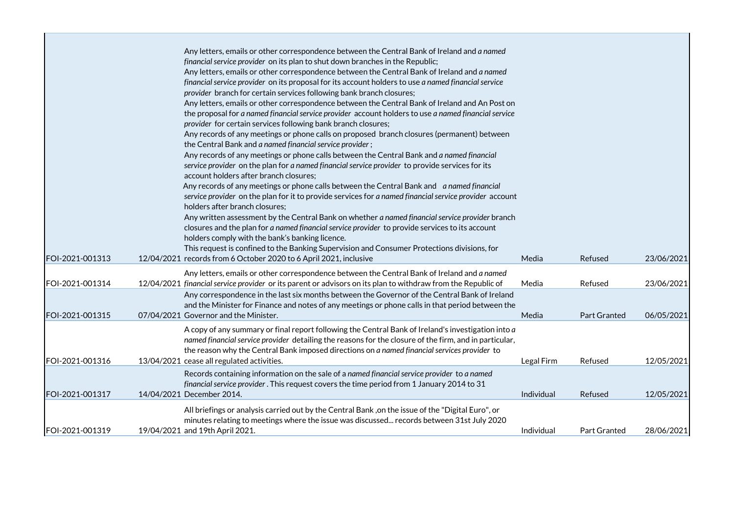|                 | Any letters, emails or other correspondence between the Central Bank of Ireland and a named                  |            |                     |            |
|-----------------|--------------------------------------------------------------------------------------------------------------|------------|---------------------|------------|
|                 | financial service provider on its plan to shut down branches in the Republic;                                |            |                     |            |
|                 | Any letters, emails or other correspondence between the Central Bank of Ireland and a named                  |            |                     |            |
|                 | financial service provider on its proposal for its account holders to use a named financial service          |            |                     |            |
|                 | provider branch for certain services following bank branch closures;                                         |            |                     |            |
|                 | Any letters, emails or other correspondence between the Central Bank of Ireland and An Post on               |            |                     |            |
|                 | the proposal for a named financial service provider account holders to use a named financial service         |            |                     |            |
|                 | provider for certain services following bank branch closures;                                                |            |                     |            |
|                 | Any records of any meetings or phone calls on proposed branch closures (permanent) between                   |            |                     |            |
|                 | the Central Bank and a named financial service provider;                                                     |            |                     |            |
|                 | Any records of any meetings or phone calls between the Central Bank and a named financial                    |            |                     |            |
|                 | service provider on the plan for a named financial service provider to provide services for its              |            |                     |            |
|                 | account holders after branch closures;                                                                       |            |                     |            |
|                 | Any records of any meetings or phone calls between the Central Bank and a named financial                    |            |                     |            |
|                 | service provider on the plan for it to provide services for a named financial service provider account       |            |                     |            |
|                 | holders after branch closures:                                                                               |            |                     |            |
|                 | Any written assessment by the Central Bank on whether a named financial service provider branch              |            |                     |            |
|                 | closures and the plan for a named financial service provider to provide services to its account              |            |                     |            |
|                 | holders comply with the bank's banking licence.                                                              |            |                     |            |
|                 | This request is confined to the Banking Supervision and Consumer Protections divisions, for                  |            |                     |            |
| FOI-2021-001313 | 12/04/2021 records from 6 October 2020 to 6 April 2021, inclusive                                            | Media      | Refused             | 23/06/2021 |
|                 | Any letters, emails or other correspondence between the Central Bank of Ireland and a named                  |            |                     |            |
| FOI-2021-001314 | 12/04/2021 financial service provider or its parent or advisors on its plan to withdraw from the Republic of | Media      | Refused             | 23/06/2021 |
|                 | Any correspondence in the last six months between the Governor of the Central Bank of Ireland                |            |                     |            |
|                 | and the Minister for Finance and notes of any meetings or phone calls in that period between the             |            |                     |            |
| FOI-2021-001315 | 07/04/2021 Governor and the Minister.                                                                        | Media      | Part Granted        | 06/05/2021 |
|                 | A copy of any summary or final report following the Central Bank of Ireland's investigation into a           |            |                     |            |
|                 | named financial service provider detailing the reasons for the closure of the firm, and in particular,       |            |                     |            |
|                 | the reason why the Central Bank imposed directions on a named financial services provider to                 |            |                     |            |
| FOI-2021-001316 | 13/04/2021 cease all regulated activities.                                                                   | Legal Firm | Refused             | 12/05/2021 |
|                 | Records containing information on the sale of a named financial service provider to a named                  |            |                     |            |
|                 | financial service provider. This request covers the time period from 1 January 2014 to 31                    |            |                     |            |
| FOI-2021-001317 | 14/04/2021 December 2014.                                                                                    | Individual | Refused             | 12/05/2021 |
|                 | All briefings or analysis carried out by the Central Bank, on the issue of the "Digital Euro", or            |            |                     |            |
|                 | minutes relating to meetings where the issue was discussed records between 31st July 2020                    |            |                     |            |
| FOI-2021-001319 | 19/04/2021 and 19th April 2021.                                                                              | Individual | <b>Part Granted</b> | 28/06/2021 |
|                 |                                                                                                              |            |                     |            |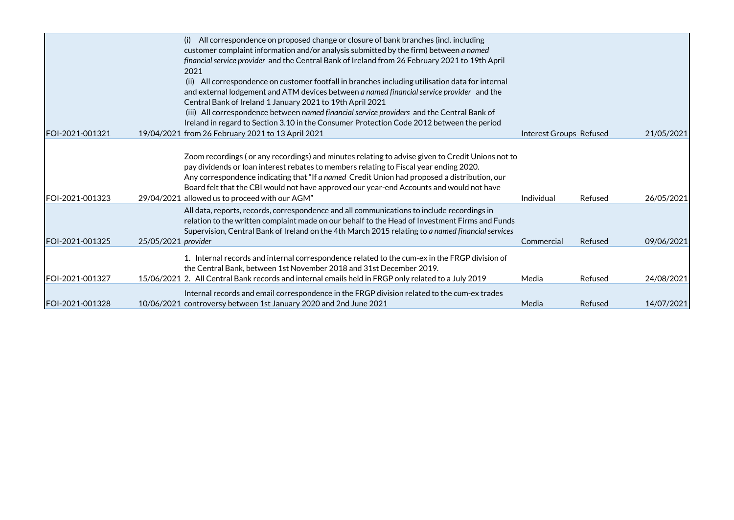|                 | All correspondence on proposed change or closure of bank branches (incl. including<br>(i)           |                         |         |            |
|-----------------|-----------------------------------------------------------------------------------------------------|-------------------------|---------|------------|
|                 | customer complaint information and/or analysis submitted by the firm) between a named               |                         |         |            |
|                 | financial service provider and the Central Bank of Ireland from 26 February 2021 to 19th April      |                         |         |            |
|                 | 2021                                                                                                |                         |         |            |
|                 | All correspondence on customer footfall in branches including utilisation data for internal         |                         |         |            |
|                 | (ii)                                                                                                |                         |         |            |
|                 | and external lodgement and ATM devices between a named financial service provider and the           |                         |         |            |
|                 | Central Bank of Ireland 1 January 2021 to 19th April 2021                                           |                         |         |            |
|                 | (iii) All correspondence between named financial service providers and the Central Bank of          |                         |         |            |
|                 | Ireland in regard to Section 3.10 in the Consumer Protection Code 2012 between the period           |                         |         |            |
| FOI-2021-001321 | 19/04/2021 from 26 February 2021 to 13 April 2021                                                   | Interest Groups Refused |         | 21/05/2021 |
|                 |                                                                                                     |                         |         |            |
|                 | Zoom recordings (or any recordings) and minutes relating to advise given to Credit Unions not to    |                         |         |            |
|                 | pay dividends or loan interest rebates to members relating to Fiscal year ending 2020.              |                         |         |            |
|                 | Any correspondence indicating that "If a named Credit Union had proposed a distribution, our        |                         |         |            |
|                 | Board felt that the CBI would not have approved our year-end Accounts and would not have            |                         |         |            |
| FOI-2021-001323 | 29/04/2021 allowed us to proceed with our AGM"                                                      | Individual              | Refused | 26/05/2021 |
|                 | All data, reports, records, correspondence and all communications to include recordings in          |                         |         |            |
|                 | relation to the written complaint made on our behalf to the Head of Investment Firms and Funds      |                         |         |            |
|                 | Supervision, Central Bank of Ireland on the 4th March 2015 relating to a named financial services   |                         |         |            |
| FOI-2021-001325 | 25/05/2021 provider                                                                                 | Commercial              | Refused | 09/06/2021 |
|                 |                                                                                                     |                         |         |            |
|                 | 1. Internal records and internal correspondence related to the cum-ex in the FRGP division of       |                         |         |            |
|                 | the Central Bank, between 1st November 2018 and 31st December 2019.                                 |                         |         |            |
| FOI-2021-001327 | 15/06/2021 2. All Central Bank records and internal emails held in FRGP only related to a July 2019 | Media                   | Refused | 24/08/2021 |
|                 | Internal records and email correspondence in the FRGP division related to the cum-ex trades         |                         |         |            |
| FOI-2021-001328 | 10/06/2021 controversy between 1st January 2020 and 2nd June 2021                                   | Media                   | Refused | 14/07/2021 |
|                 |                                                                                                     |                         |         |            |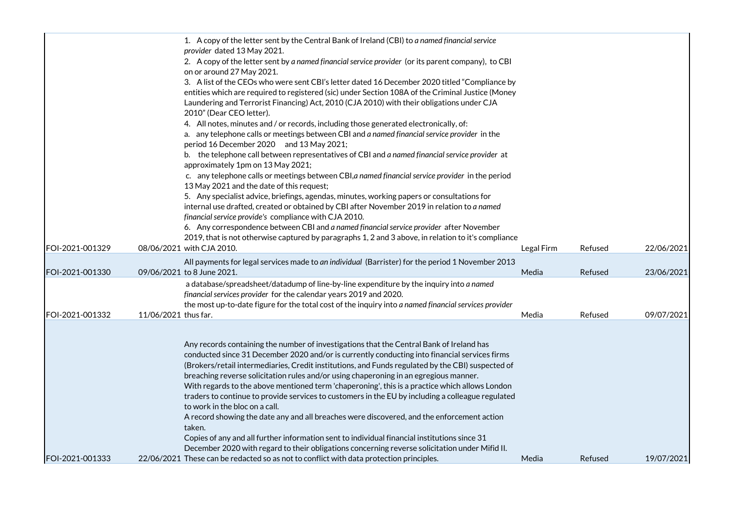|                 |                      | 1. A copy of the letter sent by the Central Bank of Ireland (CBI) to a named financial service<br>provider dated 13 May 2021.<br>2. A copy of the letter sent by a named financial service provider (or its parent company), to CBI<br>on or around 27 May 2021.<br>3. A list of the CEOs who were sent CBI's letter dated 16 December 2020 titled "Compliance by<br>entities which are required to registered (sic) under Section 108A of the Criminal Justice (Money<br>Laundering and Terrorist Financing) Act, 2010 (CJA 2010) with their obligations under CJA<br>2010" (Dear CEO letter).<br>4. All notes, minutes and / or records, including those generated electronically, of:<br>a. any telephone calls or meetings between CBI and a named financial service provider in the<br>period 16 December 2020 and 13 May 2021;<br>b. the telephone call between representatives of CBI and a named financial service provider at<br>approximately 1pm on 13 May 2021;<br>c. any telephone calls or meetings between CBI, a named financial service provider in the period<br>13 May 2021 and the date of this request;<br>5. Any specialist advice, briefings, agendas, minutes, working papers or consultations for<br>internal use drafted, created or obtained by CBI after November 2019 in relation to a named |            |         |            |
|-----------------|----------------------|---------------------------------------------------------------------------------------------------------------------------------------------------------------------------------------------------------------------------------------------------------------------------------------------------------------------------------------------------------------------------------------------------------------------------------------------------------------------------------------------------------------------------------------------------------------------------------------------------------------------------------------------------------------------------------------------------------------------------------------------------------------------------------------------------------------------------------------------------------------------------------------------------------------------------------------------------------------------------------------------------------------------------------------------------------------------------------------------------------------------------------------------------------------------------------------------------------------------------------------------------------------------------------------------------------------------------|------------|---------|------------|
|                 |                      | financial service provide's compliance with CJA 2010.                                                                                                                                                                                                                                                                                                                                                                                                                                                                                                                                                                                                                                                                                                                                                                                                                                                                                                                                                                                                                                                                                                                                                                                                                                                                     |            |         |            |
|                 |                      | 6. Any correspondence between CBI and a named financial service provider after November                                                                                                                                                                                                                                                                                                                                                                                                                                                                                                                                                                                                                                                                                                                                                                                                                                                                                                                                                                                                                                                                                                                                                                                                                                   |            |         |            |
| FOI-2021-001329 |                      | 2019, that is not otherwise captured by paragraphs 1, 2 and 3 above, in relation to it's compliance<br>08/06/2021 with CJA 2010.                                                                                                                                                                                                                                                                                                                                                                                                                                                                                                                                                                                                                                                                                                                                                                                                                                                                                                                                                                                                                                                                                                                                                                                          |            | Refused | 22/06/2021 |
|                 |                      |                                                                                                                                                                                                                                                                                                                                                                                                                                                                                                                                                                                                                                                                                                                                                                                                                                                                                                                                                                                                                                                                                                                                                                                                                                                                                                                           | Legal Firm |         |            |
| FOI-2021-001330 |                      | All payments for legal services made to an individual (Barrister) for the period 1 November 2013<br>09/06/2021 to 8 June 2021.                                                                                                                                                                                                                                                                                                                                                                                                                                                                                                                                                                                                                                                                                                                                                                                                                                                                                                                                                                                                                                                                                                                                                                                            | Media      | Refused | 23/06/2021 |
|                 |                      | a database/spreadsheet/datadump of line-by-line expenditure by the inquiry into a named<br>financial services provider for the calendar years 2019 and 2020.<br>the most up-to-date figure for the total cost of the inquiry into a named financial services provider                                                                                                                                                                                                                                                                                                                                                                                                                                                                                                                                                                                                                                                                                                                                                                                                                                                                                                                                                                                                                                                     |            |         |            |
| FOI-2021-001332 | 11/06/2021 thus far. |                                                                                                                                                                                                                                                                                                                                                                                                                                                                                                                                                                                                                                                                                                                                                                                                                                                                                                                                                                                                                                                                                                                                                                                                                                                                                                                           | Media      | Refused | 09/07/2021 |
| FOI-2021-001333 |                      | Any records containing the number of investigations that the Central Bank of Ireland has<br>conducted since 31 December 2020 and/or is currently conducting into financial services firms<br>(Brokers/retail intermediaries, Credit institutions, and Funds regulated by the CBI) suspected of<br>breaching reverse solicitation rules and/or using chaperoning in an egregious manner.<br>With regards to the above mentioned term 'chaperoning', this is a practice which allows London<br>traders to continue to provide services to customers in the EU by including a colleague regulated<br>to work in the bloc on a call.<br>A record showing the date any and all breaches were discovered, and the enforcement action<br>taken.<br>Copies of any and all further information sent to individual financial institutions since 31<br>December 2020 with regard to their obligations concerning reverse solicitation under Mifid II.<br>22/06/2021 These can be redacted so as not to conflict with data protection principles.                                                                                                                                                                                                                                                                                     | Media      | Refused | 19/07/2021 |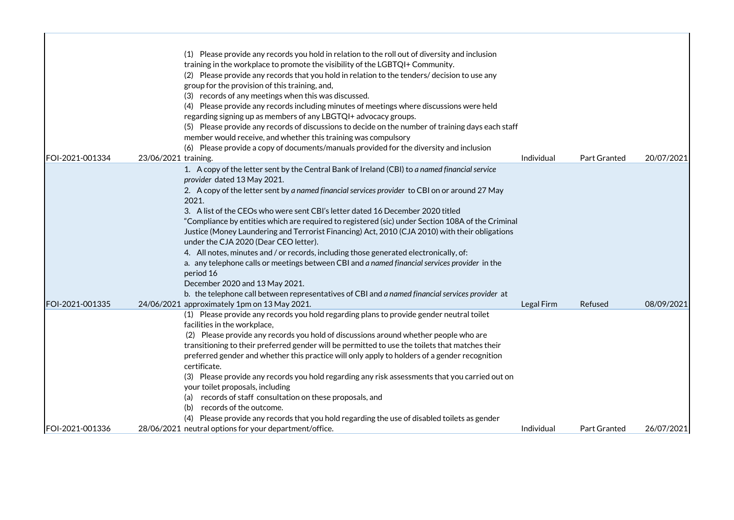|                 | Please provide any records you hold in relation to the roll out of diversity and inclusion<br>(1)                             |            |                     |            |
|-----------------|-------------------------------------------------------------------------------------------------------------------------------|------------|---------------------|------------|
|                 | training in the workplace to promote the visibility of the LGBTQI+ Community.                                                 |            |                     |            |
|                 | (2) Please provide any records that you hold in relation to the tenders/decision to use any                                   |            |                     |            |
|                 | group for the provision of this training, and,                                                                                |            |                     |            |
|                 | (3) records of any meetings when this was discussed.                                                                          |            |                     |            |
|                 | Please provide any records including minutes of meetings where discussions were held<br>(4)                                   |            |                     |            |
|                 | regarding signing up as members of any LBGTQI+ advocacy groups.                                                               |            |                     |            |
|                 | (5) Please provide any records of discussions to decide on the number of training days each staff                             |            |                     |            |
|                 | member would receive, and whether this training was compulsory                                                                |            |                     |            |
|                 | (6) Please provide a copy of documents/manuals provided for the diversity and inclusion                                       |            |                     |            |
| FOI-2021-001334 | 23/06/2021 training.                                                                                                          | Individual | Part Granted        | 20/07/2021 |
|                 | 1. A copy of the letter sent by the Central Bank of Ireland (CBI) to a named financial service<br>provider dated 13 May 2021. |            |                     |            |
|                 | 2. A copy of the letter sent by a named financial services provider to CBI on or around 27 May                                |            |                     |            |
|                 | 2021.                                                                                                                         |            |                     |            |
|                 | 3. A list of the CEOs who were sent CBI's letter dated 16 December 2020 titled                                                |            |                     |            |
|                 | "Compliance by entities which are required to registered (sic) under Section 108A of the Criminal                             |            |                     |            |
|                 | Justice (Money Laundering and Terrorist Financing) Act, 2010 (CJA 2010) with their obligations                                |            |                     |            |
|                 | under the CJA 2020 (Dear CEO letter).                                                                                         |            |                     |            |
|                 | 4. All notes, minutes and / or records, including those generated electronically, of:                                         |            |                     |            |
|                 | a. any telephone calls or meetings between CBI and a named financial services provider in the                                 |            |                     |            |
|                 | period 16                                                                                                                     |            |                     |            |
|                 | December 2020 and 13 May 2021.                                                                                                |            |                     |            |
|                 | b. the telephone call between representatives of CBI and a named financial services provider at                               |            |                     |            |
| FOI-2021-001335 | 24/06/2021 approximately 1pm on 13 May 2021.                                                                                  | Legal Firm | Refused             | 08/09/2021 |
|                 | (1) Please provide any records you hold regarding plans to provide gender neutral toilet                                      |            |                     |            |
|                 | facilities in the workplace,                                                                                                  |            |                     |            |
|                 | (2) Please provide any records you hold of discussions around whether people who are                                          |            |                     |            |
|                 | transitioning to their preferred gender will be permitted to use the toilets that matches their                               |            |                     |            |
|                 | preferred gender and whether this practice will only apply to holders of a gender recognition                                 |            |                     |            |
|                 | certificate.                                                                                                                  |            |                     |            |
|                 | (3) Please provide any records you hold regarding any risk assessments that you carried out on                                |            |                     |            |
|                 | your toilet proposals, including                                                                                              |            |                     |            |
|                 | records of staff consultation on these proposals, and<br>(a)                                                                  |            |                     |            |
|                 | records of the outcome.<br>(b)                                                                                                |            |                     |            |
|                 | Please provide any records that you hold regarding the use of disabled toilets as gender                                      |            |                     |            |
| FOI-2021-001336 | 28/06/2021 neutral options for your department/office.                                                                        | Individual | <b>Part Granted</b> | 26/07/2021 |

- II

T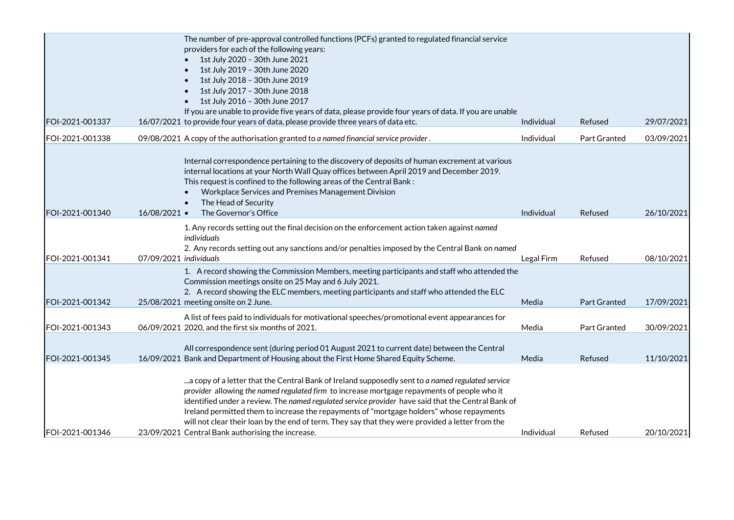|                 | The number of pre-approval controlled functions (PCFs) granted to regulated financial service<br>providers for each of the following years:<br>1st July 2020 - 30th June 2021<br>1st July 2019 - 30th June 2020<br>1st July 2018 - 30th June 2019                                                                                                                                                                                                                                                                                                          |            |                     |            |
|-----------------|------------------------------------------------------------------------------------------------------------------------------------------------------------------------------------------------------------------------------------------------------------------------------------------------------------------------------------------------------------------------------------------------------------------------------------------------------------------------------------------------------------------------------------------------------------|------------|---------------------|------------|
|                 | 1st July 2017 - 30th June 2018<br>1st July 2016 - 30th June 2017                                                                                                                                                                                                                                                                                                                                                                                                                                                                                           |            |                     |            |
|                 | If you are unable to provide five years of data, please provide four years of data. If you are unable                                                                                                                                                                                                                                                                                                                                                                                                                                                      |            |                     |            |
| FOI-2021-001337 | 16/07/2021 to provide four years of data, please provide three years of data etc.                                                                                                                                                                                                                                                                                                                                                                                                                                                                          | Individual | Refused             | 29/07/2021 |
| FOI-2021-001338 | 09/08/2021 A copy of the authorisation granted to a named financial service provider.                                                                                                                                                                                                                                                                                                                                                                                                                                                                      | Individual | Part Granted        | 03/09/2021 |
|                 | Internal correspondence pertaining to the discovery of deposits of human excrement at various<br>internal locations at your North Wall Quay offices between April 2019 and December 2019.<br>This request is confined to the following areas of the Central Bank:<br>Workplace Services and Premises Management Division<br>The Head of Security                                                                                                                                                                                                           |            |                     |            |
| FOI-2021-001340 | 16/08/2021 •<br>The Governor's Office                                                                                                                                                                                                                                                                                                                                                                                                                                                                                                                      | Individual | Refused             | 26/10/2021 |
| FOI-2021-001341 | 1. Any records setting out the final decision on the enforcement action taken against named<br>individuals<br>2. Any records setting out any sanctions and/or penalties imposed by the Central Bank on named<br>07/09/2021 individuals                                                                                                                                                                                                                                                                                                                     | Legal Firm | Refused             | 08/10/2021 |
| FOI-2021-001342 | 1. A record showing the Commission Members, meeting participants and staff who attended the<br>Commission meetings onsite on 25 May and 6 July 2021.<br>2. A record showing the ELC members, meeting participants and staff who attended the ELC<br>25/08/2021 meeting onsite on 2 June.                                                                                                                                                                                                                                                                   | Media      | Part Granted        | 17/09/2021 |
|                 | A list of fees paid to individuals for motivational speeches/promotional event appearances for                                                                                                                                                                                                                                                                                                                                                                                                                                                             |            |                     |            |
| FOI-2021-001343 | 06/09/2021 2020, and the first six months of 2021.                                                                                                                                                                                                                                                                                                                                                                                                                                                                                                         | Media      | <b>Part Granted</b> | 30/09/2021 |
| FOI-2021-001345 | All correspondence sent (during period 01 August 2021 to current date) between the Central<br>16/09/2021 Bank and Department of Housing about the First Home Shared Equity Scheme.                                                                                                                                                                                                                                                                                                                                                                         | Media      | Refused             | 11/10/2021 |
| FOI-2021-001346 | a copy of a letter that the Central Bank of Ireland supposedly sent to a named regulated service<br>provider allowing the named regulated firm to increase mortgage repayments of people who it<br>identified under a review. The named regulated service provider have said that the Central Bank of<br>Ireland permitted them to increase the repayments of "mortgage holders" whose repayments<br>will not clear their loan by the end of term. They say that they were provided a letter from the<br>23/09/2021 Central Bank authorising the increase. | Individual | Refused             | 20/10/2021 |